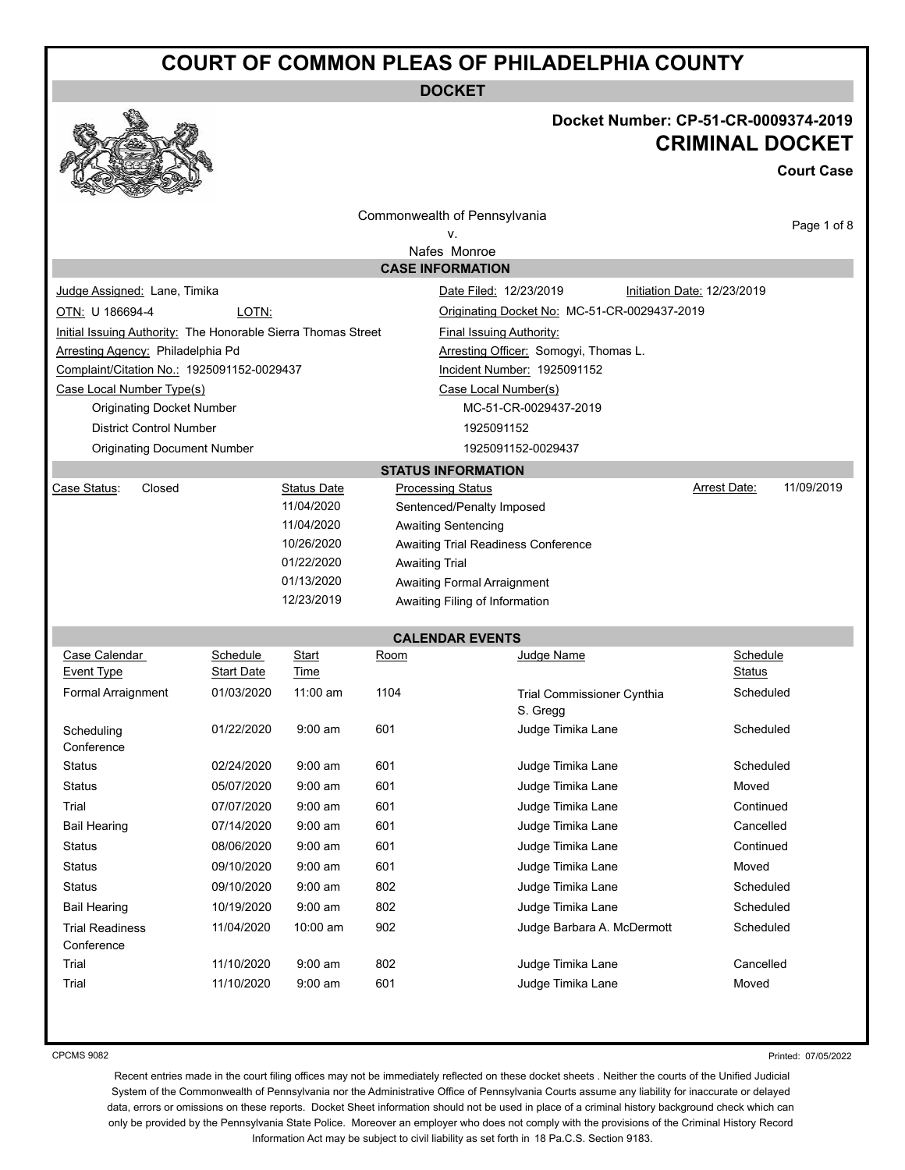**DOCKET**



### **Docket Number: CP-51-CR-0009374-2019 CRIMINAL DOCKET**

**Court Case**

| v<br><b>REAL PROPERTY</b><br>Contraction of the contraction   |            |                                  |                       |                                              |                             |             |
|---------------------------------------------------------------|------------|----------------------------------|-----------------------|----------------------------------------------|-----------------------------|-------------|
|                                                               |            |                                  |                       | Commonwealth of Pennsylvania                 |                             |             |
| v.                                                            |            |                                  |                       |                                              |                             | Page 1 of 8 |
| Nafes Monroe                                                  |            |                                  |                       |                                              |                             |             |
|                                                               |            |                                  |                       | <b>CASE INFORMATION</b>                      |                             |             |
| Judge Assigned: Lane, Timika                                  |            |                                  |                       | Date Filed: 12/23/2019                       | Initiation Date: 12/23/2019 |             |
| OTN: U 186694-4                                               | LOTN:      |                                  |                       | Originating Docket No: MC-51-CR-0029437-2019 |                             |             |
| Initial Issuing Authority: The Honorable Sierra Thomas Street |            |                                  |                       | <b>Final Issuing Authority:</b>              |                             |             |
| Arresting Agency: Philadelphia Pd                             |            |                                  |                       | Arresting Officer: Somogyi, Thomas L.        |                             |             |
| Complaint/Citation No.: 1925091152-0029437                    |            |                                  |                       | Incident Number: 1925091152                  |                             |             |
| Case Local Number Type(s)                                     |            |                                  |                       | Case Local Number(s)                         |                             |             |
| <b>Originating Docket Number</b>                              |            |                                  |                       | MC-51-CR-0029437-2019                        |                             |             |
| <b>District Control Number</b>                                |            |                                  |                       | 1925091152                                   |                             |             |
| <b>Originating Document Number</b>                            |            |                                  |                       | 1925091152-0029437                           |                             |             |
|                                                               |            |                                  |                       | <b>STATUS INFORMATION</b>                    |                             |             |
| Case Status:<br>Closed                                        |            | <b>Status Date</b><br>11/04/2020 |                       | <b>Processing Status</b>                     | Arrest Date:                | 11/09/2019  |
|                                                               |            | 11/04/2020                       |                       | Sentenced/Penalty Imposed                    |                             |             |
|                                                               |            | 10/26/2020                       |                       | <b>Awaiting Sentencing</b>                   |                             |             |
|                                                               |            | 01/22/2020                       | <b>Awaiting Trial</b> | Awaiting Trial Readiness Conference          |                             |             |
|                                                               |            | 01/13/2020                       |                       | Awaiting Formal Arraignment                  |                             |             |
|                                                               |            | 12/23/2019                       |                       | Awaiting Filing of Information               |                             |             |
|                                                               |            |                                  |                       |                                              |                             |             |
|                                                               |            |                                  |                       | <b>CALENDAR EVENTS</b>                       |                             |             |
| Case Calendar                                                 | Schedule   | Start                            | Room                  | Judge Name                                   | Schedule                    |             |
| Event Type                                                    | Start Date | Time                             |                       |                                              | Status                      |             |
| <b>Formal Arraignment</b>                                     | 01/03/2020 | $11:00$ am                       | 1104                  | Trial Commissioner Cynthia                   | Scheduled                   |             |
|                                                               |            |                                  |                       | S. Gregg                                     |                             |             |
| Scheduling<br>Conference                                      | 01/22/2020 | $9:00$ am                        | 601                   | Judge Timika Lane                            | Scheduled                   |             |
| <b>Status</b>                                                 | 02/24/2020 | $9:00$ am                        | 601                   | Judge Timika Lane                            | Scheduled                   |             |
| <b>Status</b>                                                 | 05/07/2020 | $9:00$ am                        | 601                   | Judge Timika Lane                            | Moved                       |             |
| Trial                                                         | 07/07/2020 | $9:00$ am                        | 601                   | Judge Timika Lane                            | Continued                   |             |
| <b>Bail Hearing</b>                                           | 07/14/2020 | $9:00$ am                        | 601                   | Judge Timika Lane                            | Cancelled                   |             |
| Status                                                        | 08/06/2020 | $9:00 \text{ am}$                | 601                   | Judge Timika Lane                            | Continued                   |             |
| <b>Status</b>                                                 | 09/10/2020 | $9:00$ am                        | 601                   | Judge Timika Lane                            | Moved                       |             |
| <b>Status</b>                                                 | 09/10/2020 | $9:00$ am                        | 802                   | Judge Timika Lane                            | Scheduled                   |             |
| <b>Bail Hearing</b>                                           | 10/19/2020 | $9:00$ am                        | 802                   | Judge Timika Lane                            | Scheduled                   |             |
| <b>Trial Readiness</b>                                        | 11/04/2020 | 10:00 am                         | 902                   | Judge Barbara A. McDermott                   | Scheduled                   |             |
| Conference                                                    |            |                                  |                       |                                              |                             |             |
| Trial                                                         | 11/10/2020 | $9:00$ am                        | 802                   | Judge Timika Lane                            | Cancelled                   |             |
| Trial                                                         | 11/10/2020 | $9:00$ am                        | 601                   | Judge Timika Lane                            | Moved                       |             |
|                                                               |            |                                  |                       |                                              |                             |             |

CPCMS 9082

Printed: 07/05/2022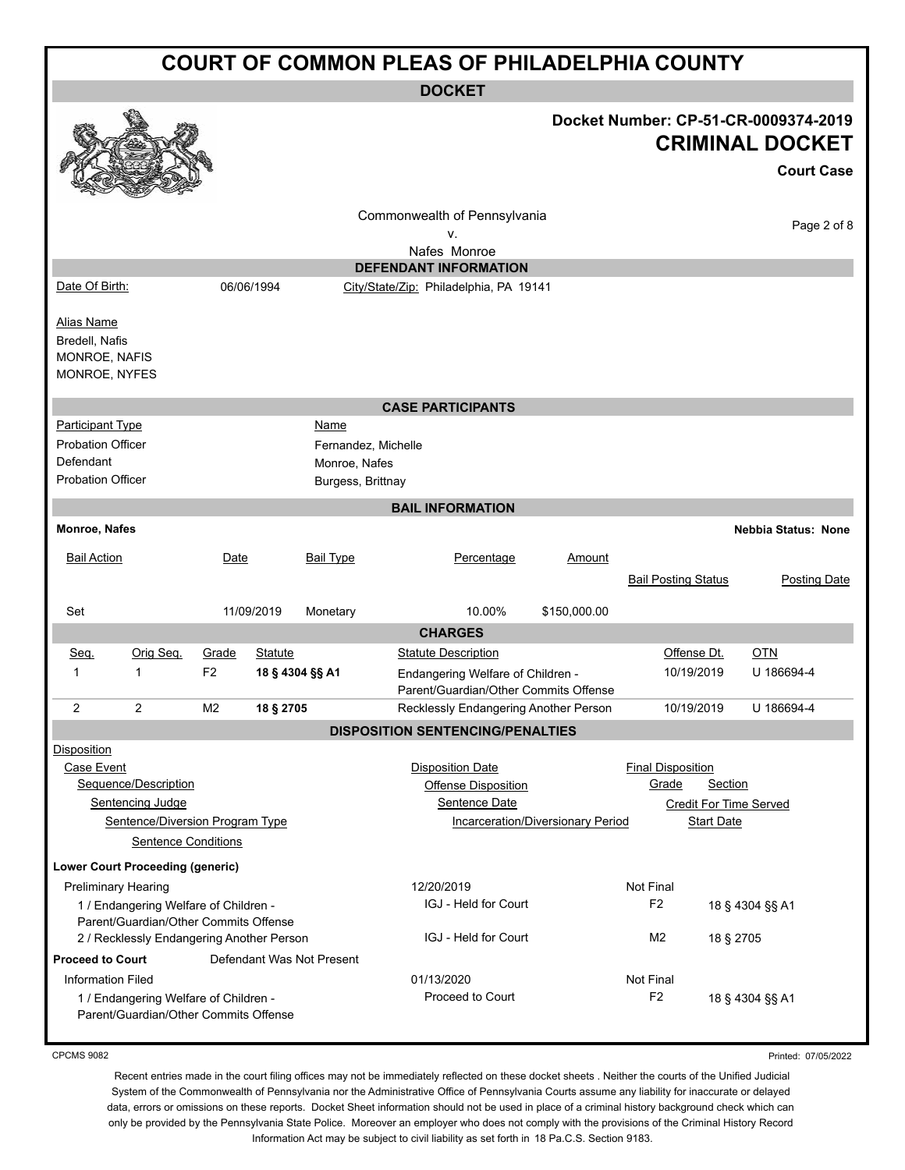| <b>COURT OF COMMON PLEAS OF PHILADELPHIA COUNTY</b>                                          |                                                                                                                             |                         |                            |                                                                   |                                                                                                          |                                          |                                               |                              |                                                                                     |
|----------------------------------------------------------------------------------------------|-----------------------------------------------------------------------------------------------------------------------------|-------------------------|----------------------------|-------------------------------------------------------------------|----------------------------------------------------------------------------------------------------------|------------------------------------------|-----------------------------------------------|------------------------------|-------------------------------------------------------------------------------------|
| <b>DOCKET</b>                                                                                |                                                                                                                             |                         |                            |                                                                   |                                                                                                          |                                          |                                               |                              |                                                                                     |
|                                                                                              |                                                                                                                             |                         |                            |                                                                   |                                                                                                          |                                          |                                               |                              | Docket Number: CP-51-CR-0009374-2019<br><b>CRIMINAL DOCKET</b><br><b>Court Case</b> |
|                                                                                              |                                                                                                                             |                         |                            |                                                                   | Commonwealth of Pennsylvania<br>٧.<br>Nafes Monroe                                                       |                                          |                                               |                              | Page 2 of 8                                                                         |
|                                                                                              |                                                                                                                             |                         |                            |                                                                   | <b>DEFENDANT INFORMATION</b>                                                                             |                                          |                                               |                              |                                                                                     |
| Date Of Birth:                                                                               |                                                                                                                             |                         | 06/06/1994                 |                                                                   | City/State/Zip: Philadelphia, PA 19141                                                                   |                                          |                                               |                              |                                                                                     |
| Alias Name<br>Bredell, Nafis<br>MONROE, NAFIS<br>MONROE, NYFES                               |                                                                                                                             |                         |                            |                                                                   |                                                                                                          |                                          |                                               |                              |                                                                                     |
|                                                                                              |                                                                                                                             |                         |                            |                                                                   | <b>CASE PARTICIPANTS</b>                                                                                 |                                          |                                               |                              |                                                                                     |
| <b>Participant Type</b><br><b>Probation Officer</b><br>Defendant<br><b>Probation Officer</b> |                                                                                                                             |                         |                            | Name<br>Fernandez, Michelle<br>Monroe, Nafes<br>Burgess, Brittnay |                                                                                                          |                                          |                                               |                              |                                                                                     |
|                                                                                              |                                                                                                                             |                         |                            |                                                                   | <b>BAIL INFORMATION</b>                                                                                  |                                          |                                               |                              |                                                                                     |
| Monroe, Nafes                                                                                |                                                                                                                             |                         |                            |                                                                   |                                                                                                          |                                          |                                               |                              | <b>Nebbia Status: None</b>                                                          |
| <b>Bail Action</b>                                                                           |                                                                                                                             | Date                    |                            | <b>Bail Type</b>                                                  | Percentage                                                                                               | Amount                                   | <b>Bail Posting Status</b>                    |                              | <b>Posting Date</b>                                                                 |
| Set                                                                                          |                                                                                                                             |                         | 11/09/2019                 | Monetary                                                          | 10.00%                                                                                                   | \$150,000.00                             |                                               |                              |                                                                                     |
|                                                                                              |                                                                                                                             |                         |                            |                                                                   | <b>CHARGES</b>                                                                                           |                                          |                                               |                              |                                                                                     |
| <u>Seq.</u><br>1                                                                             | Orig Seq.<br>1                                                                                                              | Grade<br>F <sub>2</sub> | Statute<br>18 § 4304 §§ A1 |                                                                   | <b>Statute Description</b><br>Endangering Welfare of Children -<br>Parent/Guardian/Other Commits Offense |                                          |                                               | Offense Dt.<br>10/19/2019    | <b>OTN</b><br>U 186694-4                                                            |
| 2                                                                                            | 2                                                                                                                           | M <sub>2</sub>          | 18 § 2705                  |                                                                   | Recklessly Endangering Another Person                                                                    |                                          |                                               | 10/19/2019                   | U 186694-4                                                                          |
|                                                                                              |                                                                                                                             |                         |                            |                                                                   | <b>DISPOSITION SENTENCING/PENALTIES</b>                                                                  |                                          |                                               |                              |                                                                                     |
| <b>Disposition</b><br>Case Event                                                             | Sequence/Description<br>Sentencing Judge<br>Sentence/Diversion Program Type<br><b>Sentence Conditions</b>                   |                         |                            |                                                                   | <b>Disposition Date</b><br><b>Offense Disposition</b><br>Sentence Date                                   | <b>Incarceration/Diversionary Period</b> | <b>Final Disposition</b><br>Grade             | Section<br><b>Start Date</b> | <b>Credit For Time Served</b>                                                       |
|                                                                                              | <b>Lower Court Proceeding (generic)</b>                                                                                     |                         |                            |                                                                   |                                                                                                          |                                          |                                               |                              |                                                                                     |
| <b>Preliminary Hearing</b>                                                                   | 1 / Endangering Welfare of Children -<br>Parent/Guardian/Other Commits Offense<br>2 / Recklessly Endangering Another Person |                         |                            |                                                                   | 12/20/2019<br>IGJ - Held for Court<br>IGJ - Held for Court                                               |                                          | Not Final<br>F <sub>2</sub><br>M <sub>2</sub> | 18 § 2705                    | 18 § 4304 §§ A1                                                                     |
| <b>Proceed to Court</b><br><b>Information Filed</b>                                          | 1 / Endangering Welfare of Children -<br>Parent/Guardian/Other Commits Offense                                              |                         |                            | Defendant Was Not Present                                         | 01/13/2020<br><b>Proceed to Court</b>                                                                    |                                          | Not Final<br>F <sub>2</sub>                   |                              | 18 § 4304 §§ A1                                                                     |

Printed: 07/05/2022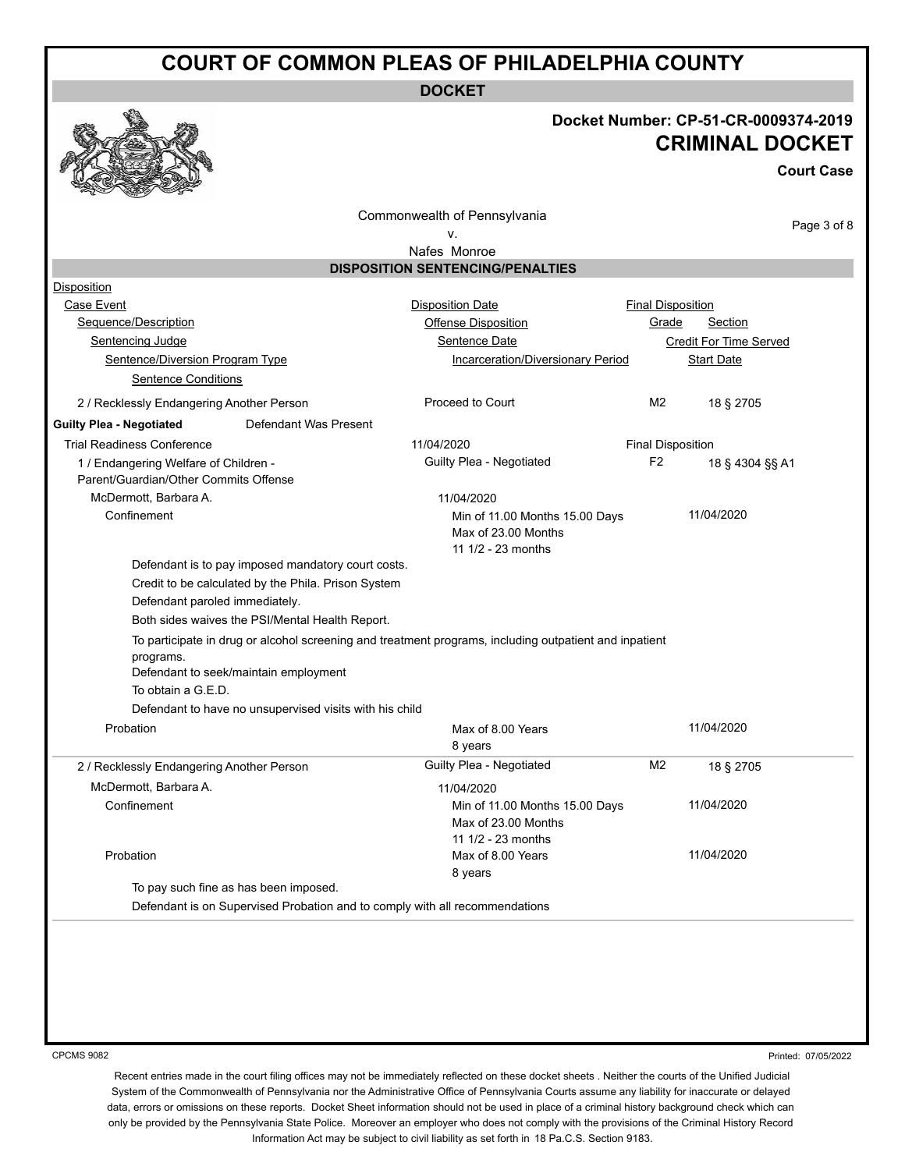**DOCKET**

### **Docket Number: CP-51-CR-0009374-2019 CRIMINAL DOCKET**

**Court Case**

Commonwealth of Pennsylvania

Page 3 of 8

#### v. Nafes Monroe

|                                                         | <b>DISPOSITION SENTENCING/PENALTIES</b>                                                                |                          |                               |
|---------------------------------------------------------|--------------------------------------------------------------------------------------------------------|--------------------------|-------------------------------|
| Disposition                                             |                                                                                                        |                          |                               |
| Case Event                                              | <b>Disposition Date</b>                                                                                | <b>Final Disposition</b> |                               |
| Sequence/Description                                    | <b>Offense Disposition</b>                                                                             | Grade                    | Section                       |
| <b>Sentencing Judge</b>                                 | Sentence Date                                                                                          |                          | <b>Credit For Time Served</b> |
| Sentence/Diversion Program Type                         | <b>Incarceration/Diversionary Period</b>                                                               |                          | <b>Start Date</b>             |
| <b>Sentence Conditions</b>                              |                                                                                                        |                          |                               |
| 2 / Recklessly Endangering Another Person               | Proceed to Court                                                                                       | M <sub>2</sub>           | 18 § 2705                     |
| <b>Guilty Plea - Negotiated</b>                         | Defendant Was Present                                                                                  |                          |                               |
| <b>Trial Readiness Conference</b>                       | 11/04/2020                                                                                             | <b>Final Disposition</b> |                               |
| 1 / Endangering Welfare of Children -                   | Guilty Plea - Negotiated                                                                               | F <sub>2</sub>           | 18 § 4304 §§ A1               |
| Parent/Guardian/Other Commits Offense                   |                                                                                                        |                          |                               |
| McDermott. Barbara A.                                   | 11/04/2020                                                                                             |                          |                               |
| Confinement                                             | Min of 11.00 Months 15.00 Days<br>Max of 23.00 Months<br>11 1/2 - 23 months                            |                          | 11/04/2020                    |
|                                                         |                                                                                                        |                          |                               |
| Defendant is to pay imposed mandatory court costs.      |                                                                                                        |                          |                               |
| Credit to be calculated by the Phila. Prison System     |                                                                                                        |                          |                               |
| Defendant paroled immediately.                          |                                                                                                        |                          |                               |
| Both sides waives the PSI/Mental Health Report.         |                                                                                                        |                          |                               |
| programs.<br>Defendant to seek/maintain employment      | To participate in drug or alcohol screening and treatment programs, including outpatient and inpatient |                          |                               |
| To obtain a G.E.D.                                      |                                                                                                        |                          |                               |
| Defendant to have no unsupervised visits with his child |                                                                                                        |                          |                               |
| Probation                                               | Max of 8.00 Years<br>8 years                                                                           |                          | 11/04/2020                    |
| 2 / Recklessly Endangering Another Person               | Guilty Plea - Negotiated                                                                               | M2                       | 18 § 2705                     |
| McDermott, Barbara A.                                   | 11/04/2020                                                                                             |                          |                               |
| Confinement                                             | Min of 11.00 Months 15.00 Days<br>Max of 23.00 Months                                                  |                          | 11/04/2020                    |
| Probation                                               | 11 1/2 - 23 months<br>Max of 8.00 Years<br>8 years                                                     |                          | 11/04/2020                    |
| To pay such fine as has been imposed.                   |                                                                                                        |                          |                               |

CPCMS 9082

Printed: 07/05/2022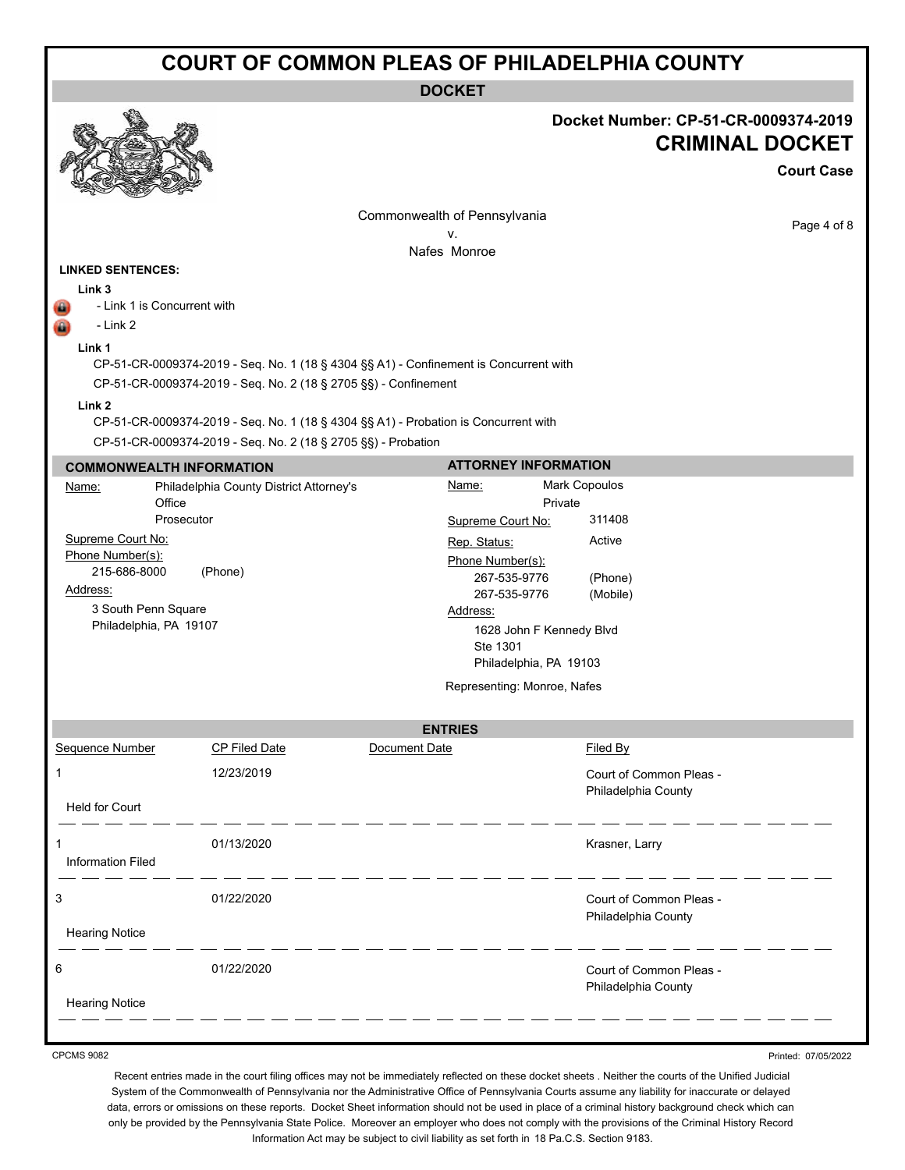**DOCKET**

|                                                                                                                                                     |                                                                                                                                                                                                                                                 |                                                                                                                                                                                        |                                                                                                 | Docket Number: CP-51-CR-0009374-2019<br><b>CRIMINAL DOCKET</b><br><b>Court Case</b> |
|-----------------------------------------------------------------------------------------------------------------------------------------------------|-------------------------------------------------------------------------------------------------------------------------------------------------------------------------------------------------------------------------------------------------|----------------------------------------------------------------------------------------------------------------------------------------------------------------------------------------|-------------------------------------------------------------------------------------------------|-------------------------------------------------------------------------------------|
|                                                                                                                                                     |                                                                                                                                                                                                                                                 | Commonwealth of Pennsylvania                                                                                                                                                           |                                                                                                 | Page 4 of 8                                                                         |
|                                                                                                                                                     |                                                                                                                                                                                                                                                 | v.<br>Nafes Monroe                                                                                                                                                                     |                                                                                                 |                                                                                     |
| <b>LINKED SENTENCES:</b><br>Link 3<br>- Link 1 is Concurrent with<br>- Link 2<br>Link 1<br>Link <sub>2</sub>                                        | CP-51-CR-0009374-2019 - Seq. No. 1 (18 § 4304 §§ A1) - Confinement is Concurrent with<br>CP-51-CR-0009374-2019 - Seq. No. 2 (18 § 2705 §§) - Confinement<br>CP-51-CR-0009374-2019 - Seq. No. 1 (18 § 4304 §§ A1) - Probation is Concurrent with |                                                                                                                                                                                        |                                                                                                 |                                                                                     |
|                                                                                                                                                     | CP-51-CR-0009374-2019 - Seq. No. 2 (18 § 2705 §§) - Probation                                                                                                                                                                                   |                                                                                                                                                                                        |                                                                                                 |                                                                                     |
| <b>COMMONWEALTH INFORMATION</b>                                                                                                                     |                                                                                                                                                                                                                                                 | <b>ATTORNEY INFORMATION</b>                                                                                                                                                            |                                                                                                 |                                                                                     |
| Name:<br>Office<br>Prosecutor<br>Supreme Court No:<br>Phone Number(s):<br>215-686-8000<br>Address:<br>3 South Penn Square<br>Philadelphia, PA 19107 | Philadelphia County District Attorney's<br>(Phone)                                                                                                                                                                                              | <u>Name:</u><br>Supreme Court No:<br>Rep. Status:<br>Phone Number(s):<br>267-535-9776<br>267-535-9776<br>Address:<br>Ste 1301<br>Philadelphia, PA 19103<br>Representing: Monroe, Nafes | Mark Copoulos<br>Private<br>311408<br>Active<br>(Phone)<br>(Mobile)<br>1628 John F Kennedy Blvd |                                                                                     |
|                                                                                                                                                     |                                                                                                                                                                                                                                                 | <b>ENTRIES</b>                                                                                                                                                                         |                                                                                                 |                                                                                     |
| <b>Sequence Number</b>                                                                                                                              | <b>CP Filed Date</b>                                                                                                                                                                                                                            | Document Date                                                                                                                                                                          | Filed By                                                                                        |                                                                                     |
| 1<br><b>Held for Court</b>                                                                                                                          | 12/23/2019                                                                                                                                                                                                                                      |                                                                                                                                                                                        | Court of Common Pleas -<br>Philadelphia County                                                  |                                                                                     |
| 1<br><b>Information Filed</b>                                                                                                                       | 01/13/2020                                                                                                                                                                                                                                      |                                                                                                                                                                                        | Krasner, Larry                                                                                  |                                                                                     |
| 3<br><b>Hearing Notice</b>                                                                                                                          | 01/22/2020                                                                                                                                                                                                                                      |                                                                                                                                                                                        | Court of Common Pleas -<br>Philadelphia County                                                  |                                                                                     |
| 6<br><b>Hearing Notice</b>                                                                                                                          | 01/22/2020                                                                                                                                                                                                                                      |                                                                                                                                                                                        | Court of Common Pleas -<br>Philadelphia County                                                  |                                                                                     |
|                                                                                                                                                     |                                                                                                                                                                                                                                                 |                                                                                                                                                                                        |                                                                                                 |                                                                                     |

CPCMS 9082

Printed: 07/05/2022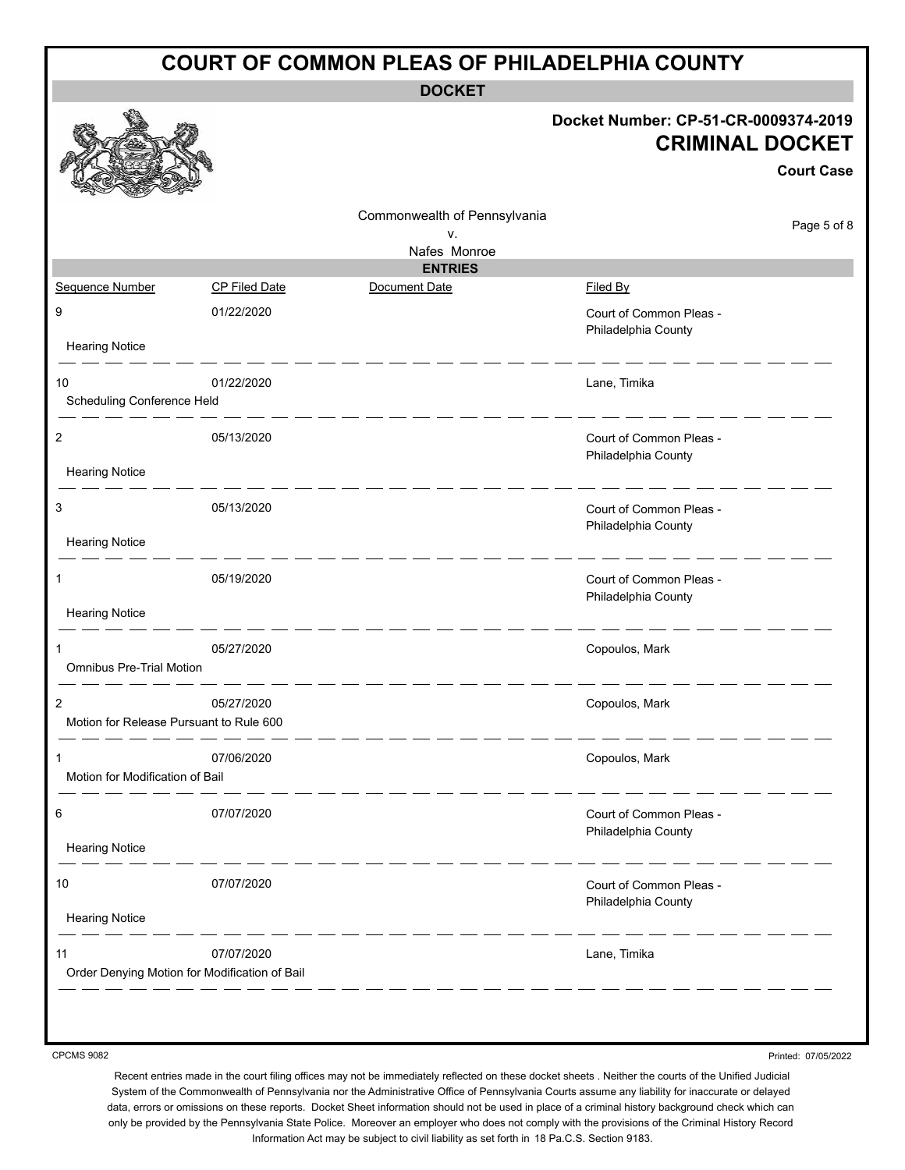| <b>COURT OF COMMON PLEAS OF PHILADELPHIA COUNTY</b> |                      |                              |                                                                                     |  |  |
|-----------------------------------------------------|----------------------|------------------------------|-------------------------------------------------------------------------------------|--|--|
|                                                     |                      | <b>DOCKET</b>                |                                                                                     |  |  |
|                                                     |                      |                              | Docket Number: CP-51-CR-0009374-2019<br><b>CRIMINAL DOCKET</b><br><b>Court Case</b> |  |  |
|                                                     |                      | Commonwealth of Pennsylvania | Page 5 of 8                                                                         |  |  |
|                                                     |                      | ν.<br>Nafes Monroe           |                                                                                     |  |  |
|                                                     |                      | <b>ENTRIES</b>               |                                                                                     |  |  |
| Sequence Number                                     | <b>CP Filed Date</b> | Document Date                | Filed By                                                                            |  |  |
| 9                                                   | 01/22/2020           |                              | Court of Common Pleas -<br>Philadelphia County                                      |  |  |
| <b>Hearing Notice</b>                               |                      |                              |                                                                                     |  |  |
| 10<br>Scheduling Conference Held                    | 01/22/2020           |                              | Lane, Timika                                                                        |  |  |
| 2                                                   | 05/13/2020           |                              | Court of Common Pleas -<br>Philadelphia County                                      |  |  |
| <b>Hearing Notice</b>                               |                      |                              |                                                                                     |  |  |
| 3                                                   | 05/13/2020           |                              | Court of Common Pleas -<br>Philadelphia County                                      |  |  |
| <b>Hearing Notice</b>                               |                      |                              |                                                                                     |  |  |
| 1                                                   | 05/19/2020           |                              | Court of Common Pleas -<br>Philadelphia County                                      |  |  |
| <b>Hearing Notice</b>                               |                      |                              |                                                                                     |  |  |
| <b>Omnibus Pre-Trial Motion</b>                     | 05/27/2020           |                              | Copoulos, Mark                                                                      |  |  |
| Motion for Release Pursuant to Rule 600             | 05/27/2020           |                              | Copoulos, Mark                                                                      |  |  |
| Motion for Modification of Bail                     | 07/06/2020           |                              | Copoulos, Mark                                                                      |  |  |
| 6                                                   | 07/07/2020           |                              | Court of Common Pleas -<br>Philadelphia County                                      |  |  |
| <b>Hearing Notice</b>                               |                      |                              |                                                                                     |  |  |
| 10<br><b>Hearing Notice</b>                         | 07/07/2020           |                              | Court of Common Pleas -<br>Philadelphia County                                      |  |  |
|                                                     |                      |                              |                                                                                     |  |  |
| 11<br>Order Denying Motion for Modification of Bail | 07/07/2020           |                              | Lane, Timika                                                                        |  |  |
|                                                     |                      |                              |                                                                                     |  |  |

Printed: 07/05/2022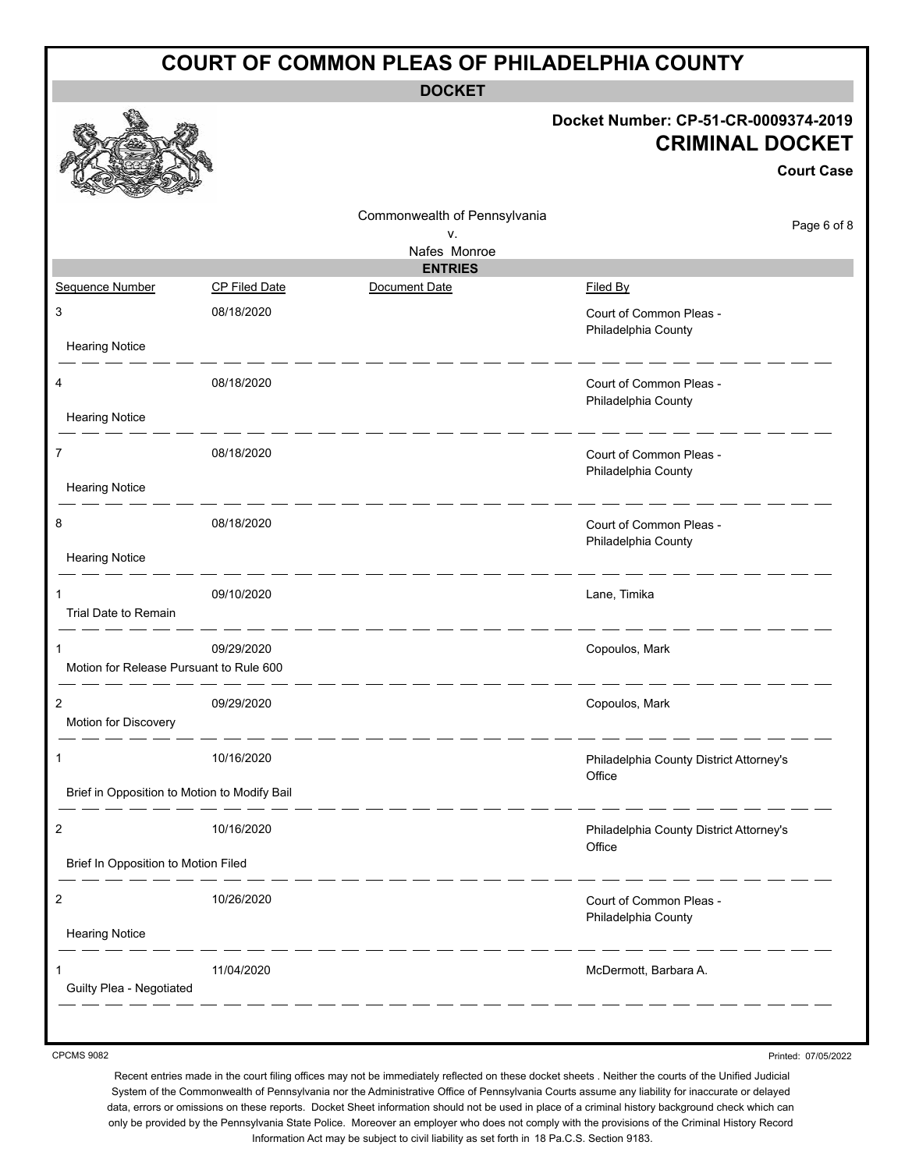| <b>COURT OF COMMON PLEAS OF PHILADELPHIA COUNTY</b> |                      |                              |                                                                                     |  |  |
|-----------------------------------------------------|----------------------|------------------------------|-------------------------------------------------------------------------------------|--|--|
|                                                     |                      | <b>DOCKET</b>                |                                                                                     |  |  |
|                                                     |                      |                              | Docket Number: CP-51-CR-0009374-2019<br><b>CRIMINAL DOCKET</b><br><b>Court Case</b> |  |  |
|                                                     |                      | Commonwealth of Pennsylvania | Page 6 of 8                                                                         |  |  |
|                                                     |                      | v.<br>Nafes Monroe           |                                                                                     |  |  |
|                                                     |                      | <b>ENTRIES</b>               |                                                                                     |  |  |
| Sequence Number                                     | <b>CP Filed Date</b> | Document Date                | Filed By                                                                            |  |  |
| 3                                                   | 08/18/2020           |                              | Court of Common Pleas -<br>Philadelphia County                                      |  |  |
| <b>Hearing Notice</b>                               |                      |                              |                                                                                     |  |  |
| 4<br><b>Hearing Notice</b>                          | 08/18/2020           |                              | Court of Common Pleas -<br>Philadelphia County                                      |  |  |
| $\overline{7}$                                      | 08/18/2020           |                              | Court of Common Pleas -<br>Philadelphia County                                      |  |  |
| <b>Hearing Notice</b>                               |                      |                              |                                                                                     |  |  |
| 8                                                   | 08/18/2020           |                              | Court of Common Pleas -<br>Philadelphia County                                      |  |  |
| <b>Hearing Notice</b>                               |                      |                              |                                                                                     |  |  |
| 1<br>Trial Date to Remain                           | 09/10/2020           |                              | Lane, Timika                                                                        |  |  |
| 1<br>Motion for Release Pursuant to Rule 600        | 09/29/2020           |                              | Copoulos, Mark                                                                      |  |  |
| 2<br>Motion for Discovery                           | 09/29/2020           |                              | Copoulos, Mark                                                                      |  |  |
| 1                                                   | 10/16/2020           |                              | Philadelphia County District Attorney's<br>Office                                   |  |  |
| Brief in Opposition to Motion to Modify Bail        |                      |                              |                                                                                     |  |  |
| $\overline{c}$                                      | 10/16/2020           |                              | Philadelphia County District Attorney's<br>Office                                   |  |  |
| Brief In Opposition to Motion Filed                 |                      |                              |                                                                                     |  |  |
| $\overline{c}$                                      | 10/26/2020           |                              | Court of Common Pleas -<br>Philadelphia County                                      |  |  |
| <b>Hearing Notice</b>                               |                      |                              |                                                                                     |  |  |
| Guilty Plea - Negotiated                            | 11/04/2020           |                              | McDermott, Barbara A.                                                               |  |  |
|                                                     |                      |                              |                                                                                     |  |  |

Printed: 07/05/2022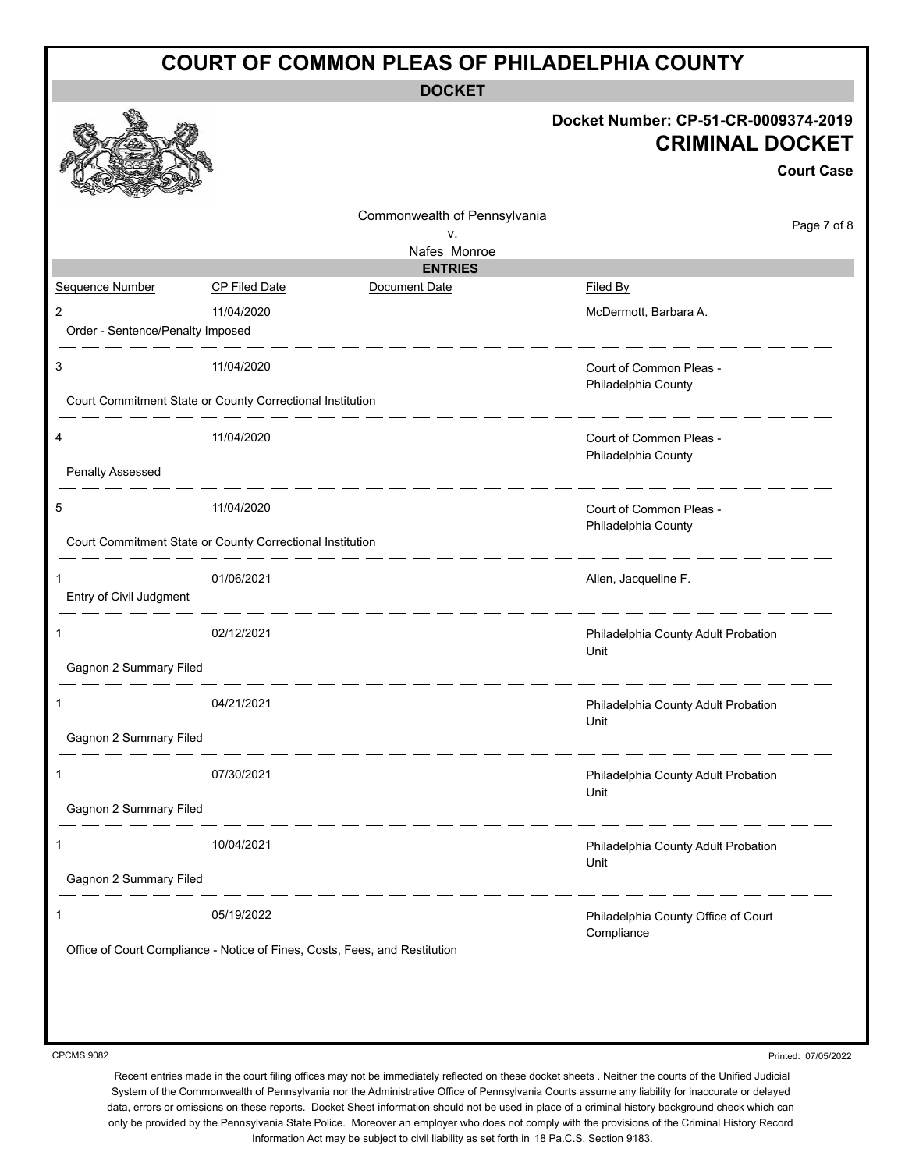| <b>COURT OF COMMON PLEAS OF PHILADELPHIA COUNTY</b> |                                                           |                                                                            |                                                                                     |  |  |
|-----------------------------------------------------|-----------------------------------------------------------|----------------------------------------------------------------------------|-------------------------------------------------------------------------------------|--|--|
|                                                     |                                                           | <b>DOCKET</b>                                                              |                                                                                     |  |  |
|                                                     |                                                           |                                                                            | Docket Number: CP-51-CR-0009374-2019<br><b>CRIMINAL DOCKET</b><br><b>Court Case</b> |  |  |
|                                                     |                                                           | Commonwealth of Pennsylvania                                               | Page 7 of 8                                                                         |  |  |
|                                                     |                                                           | ν.<br>Nafes Monroe                                                         |                                                                                     |  |  |
|                                                     |                                                           | <b>ENTRIES</b>                                                             |                                                                                     |  |  |
| Sequence Number                                     | <b>CP Filed Date</b>                                      | Document Date                                                              | Filed By                                                                            |  |  |
| $\overline{2}$                                      | 11/04/2020                                                |                                                                            | McDermott, Barbara A.                                                               |  |  |
| Order - Sentence/Penalty Imposed                    |                                                           |                                                                            |                                                                                     |  |  |
| 3                                                   | 11/04/2020                                                |                                                                            | Court of Common Pleas -                                                             |  |  |
|                                                     |                                                           |                                                                            | Philadelphia County                                                                 |  |  |
|                                                     | Court Commitment State or County Correctional Institution |                                                                            |                                                                                     |  |  |
| 4                                                   | 11/04/2020                                                |                                                                            | Court of Common Pleas -                                                             |  |  |
|                                                     |                                                           |                                                                            | Philadelphia County                                                                 |  |  |
| <b>Penalty Assessed</b>                             |                                                           |                                                                            |                                                                                     |  |  |
| 5                                                   | 11/04/2020                                                |                                                                            | Court of Common Pleas -                                                             |  |  |
|                                                     | Court Commitment State or County Correctional Institution |                                                                            | Philadelphia County                                                                 |  |  |
|                                                     |                                                           |                                                                            |                                                                                     |  |  |
| $\mathbf{1}$                                        | 01/06/2021                                                |                                                                            | Allen, Jacqueline F.                                                                |  |  |
| Entry of Civil Judgment                             | - - - - - -                                               |                                                                            |                                                                                     |  |  |
| 1                                                   | 02/12/2021                                                |                                                                            | Philadelphia County Adult Probation                                                 |  |  |
|                                                     |                                                           |                                                                            | Unit                                                                                |  |  |
| Gagnon 2 Summary Filed                              |                                                           |                                                                            |                                                                                     |  |  |
|                                                     | 04/21/2021                                                |                                                                            | Philadelphia County Adult Probation                                                 |  |  |
|                                                     |                                                           |                                                                            | Unit                                                                                |  |  |
| Gagnon 2 Summary Filed                              |                                                           |                                                                            |                                                                                     |  |  |
| 1                                                   | 07/30/2021                                                |                                                                            | Philadelphia County Adult Probation                                                 |  |  |
|                                                     |                                                           |                                                                            | Unit                                                                                |  |  |
| Gagnon 2 Summary Filed                              |                                                           |                                                                            |                                                                                     |  |  |
| 1                                                   | 10/04/2021                                                |                                                                            | Philadelphia County Adult Probation                                                 |  |  |
|                                                     |                                                           |                                                                            | Unit                                                                                |  |  |
| Gagnon 2 Summary Filed                              |                                                           |                                                                            |                                                                                     |  |  |
| 1                                                   | 05/19/2022                                                |                                                                            | Philadelphia County Office of Court                                                 |  |  |
|                                                     |                                                           | Office of Court Compliance - Notice of Fines, Costs, Fees, and Restitution | Compliance                                                                          |  |  |
|                                                     |                                                           |                                                                            |                                                                                     |  |  |
|                                                     |                                                           |                                                                            |                                                                                     |  |  |
|                                                     |                                                           |                                                                            |                                                                                     |  |  |
|                                                     |                                                           |                                                                            |                                                                                     |  |  |

Printed: 07/05/2022